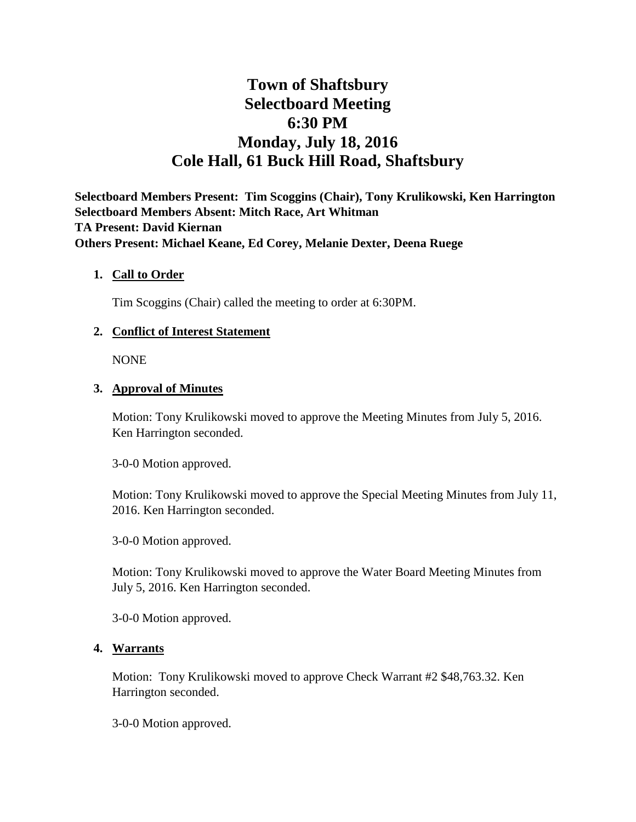# **Town of Shaftsbury Selectboard Meeting 6:30 PM Monday, July 18, 2016 Cole Hall, 61 Buck Hill Road, Shaftsbury**

**Selectboard Members Present: Tim Scoggins (Chair), Tony Krulikowski, Ken Harrington Selectboard Members Absent: Mitch Race, Art Whitman TA Present: David Kiernan Others Present: Michael Keane, Ed Corey, Melanie Dexter, Deena Ruege**

## **1. Call to Order**

Tim Scoggins (Chair) called the meeting to order at 6:30PM.

## **2. Conflict of Interest Statement**

NONE

## **3. Approval of Minutes**

Motion: Tony Krulikowski moved to approve the Meeting Minutes from July 5, 2016. Ken Harrington seconded.

3-0-0 Motion approved.

Motion: Tony Krulikowski moved to approve the Special Meeting Minutes from July 11, 2016. Ken Harrington seconded.

3-0-0 Motion approved.

Motion: Tony Krulikowski moved to approve the Water Board Meeting Minutes from July 5, 2016. Ken Harrington seconded.

3-0-0 Motion approved.

## **4. Warrants**

Motion: Tony Krulikowski moved to approve Check Warrant #2 \$48,763.32. Ken Harrington seconded.

3-0-0 Motion approved.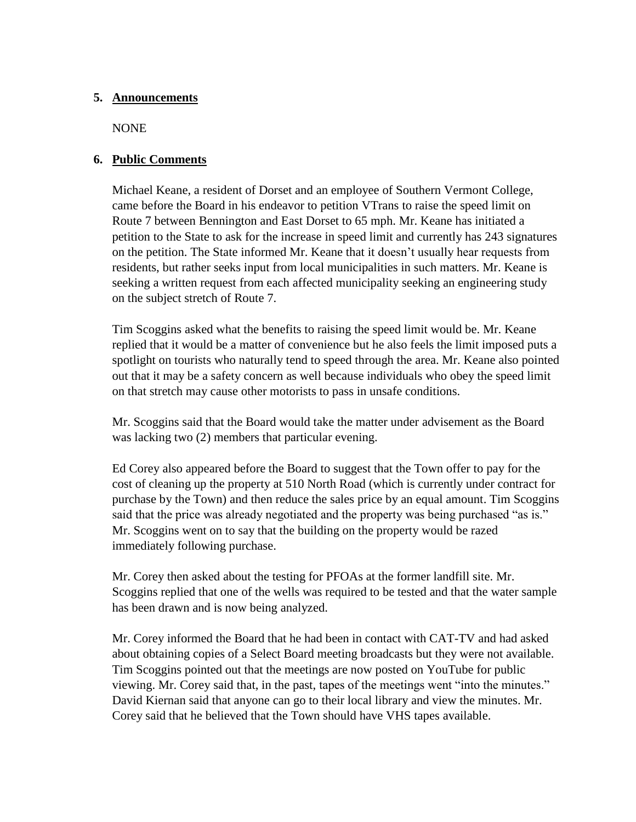## **5. Announcements**

NONE

# **6. Public Comments**

Michael Keane, a resident of Dorset and an employee of Southern Vermont College, came before the Board in his endeavor to petition VTrans to raise the speed limit on Route 7 between Bennington and East Dorset to 65 mph. Mr. Keane has initiated a petition to the State to ask for the increase in speed limit and currently has 243 signatures on the petition. The State informed Mr. Keane that it doesn't usually hear requests from residents, but rather seeks input from local municipalities in such matters. Mr. Keane is seeking a written request from each affected municipality seeking an engineering study on the subject stretch of Route 7.

Tim Scoggins asked what the benefits to raising the speed limit would be. Mr. Keane replied that it would be a matter of convenience but he also feels the limit imposed puts a spotlight on tourists who naturally tend to speed through the area. Mr. Keane also pointed out that it may be a safety concern as well because individuals who obey the speed limit on that stretch may cause other motorists to pass in unsafe conditions.

Mr. Scoggins said that the Board would take the matter under advisement as the Board was lacking two (2) members that particular evening.

Ed Corey also appeared before the Board to suggest that the Town offer to pay for the cost of cleaning up the property at 510 North Road (which is currently under contract for purchase by the Town) and then reduce the sales price by an equal amount. Tim Scoggins said that the price was already negotiated and the property was being purchased "as is." Mr. Scoggins went on to say that the building on the property would be razed immediately following purchase.

Mr. Corey then asked about the testing for PFOAs at the former landfill site. Mr. Scoggins replied that one of the wells was required to be tested and that the water sample has been drawn and is now being analyzed.

Mr. Corey informed the Board that he had been in contact with CAT-TV and had asked about obtaining copies of a Select Board meeting broadcasts but they were not available. Tim Scoggins pointed out that the meetings are now posted on YouTube for public viewing. Mr. Corey said that, in the past, tapes of the meetings went "into the minutes." David Kiernan said that anyone can go to their local library and view the minutes. Mr. Corey said that he believed that the Town should have VHS tapes available.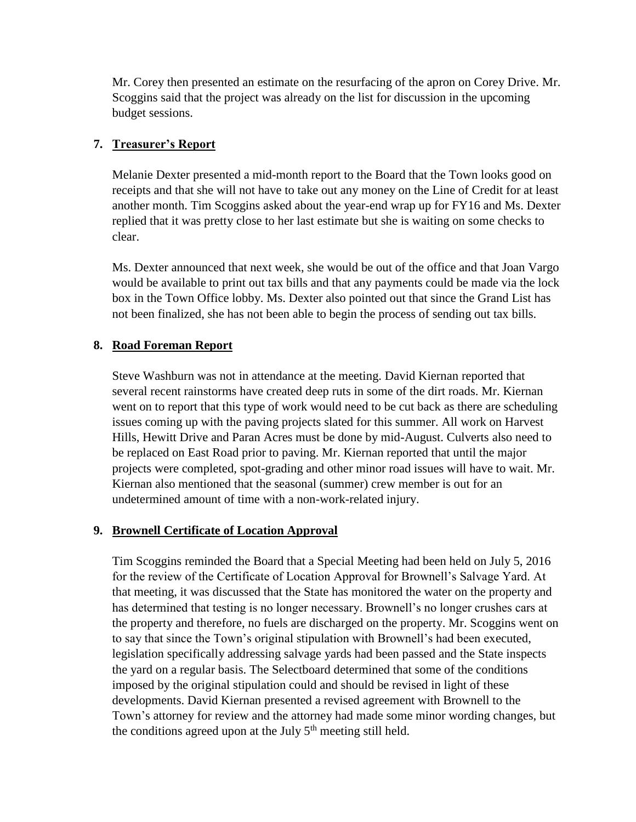Mr. Corey then presented an estimate on the resurfacing of the apron on Corey Drive. Mr. Scoggins said that the project was already on the list for discussion in the upcoming budget sessions.

# **7. Treasurer's Report**

Melanie Dexter presented a mid-month report to the Board that the Town looks good on receipts and that she will not have to take out any money on the Line of Credit for at least another month. Tim Scoggins asked about the year-end wrap up for FY16 and Ms. Dexter replied that it was pretty close to her last estimate but she is waiting on some checks to clear.

Ms. Dexter announced that next week, she would be out of the office and that Joan Vargo would be available to print out tax bills and that any payments could be made via the lock box in the Town Office lobby. Ms. Dexter also pointed out that since the Grand List has not been finalized, she has not been able to begin the process of sending out tax bills.

# **8. Road Foreman Report**

Steve Washburn was not in attendance at the meeting. David Kiernan reported that several recent rainstorms have created deep ruts in some of the dirt roads. Mr. Kiernan went on to report that this type of work would need to be cut back as there are scheduling issues coming up with the paving projects slated for this summer. All work on Harvest Hills, Hewitt Drive and Paran Acres must be done by mid-August. Culverts also need to be replaced on East Road prior to paving. Mr. Kiernan reported that until the major projects were completed, spot-grading and other minor road issues will have to wait. Mr. Kiernan also mentioned that the seasonal (summer) crew member is out for an undetermined amount of time with a non-work-related injury.

## **9. Brownell Certificate of Location Approval**

Tim Scoggins reminded the Board that a Special Meeting had been held on July 5, 2016 for the review of the Certificate of Location Approval for Brownell's Salvage Yard. At that meeting, it was discussed that the State has monitored the water on the property and has determined that testing is no longer necessary. Brownell's no longer crushes cars at the property and therefore, no fuels are discharged on the property. Mr. Scoggins went on to say that since the Town's original stipulation with Brownell's had been executed, legislation specifically addressing salvage yards had been passed and the State inspects the yard on a regular basis. The Selectboard determined that some of the conditions imposed by the original stipulation could and should be revised in light of these developments. David Kiernan presented a revised agreement with Brownell to the Town's attorney for review and the attorney had made some minor wording changes, but the conditions agreed upon at the July  $5<sup>th</sup>$  meeting still held.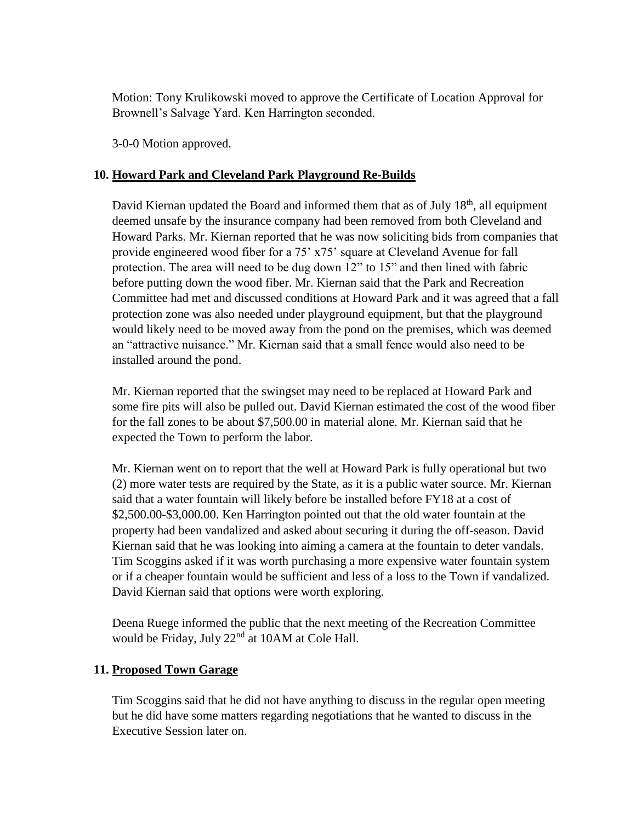Motion: Tony Krulikowski moved to approve the Certificate of Location Approval for Brownell's Salvage Yard. Ken Harrington seconded.

3-0-0 Motion approved.

# **10. Howard Park and Cleveland Park Playground Re-Builds**

David Kiernan updated the Board and informed them that as of July 18<sup>th</sup>, all equipment deemed unsafe by the insurance company had been removed from both Cleveland and Howard Parks. Mr. Kiernan reported that he was now soliciting bids from companies that provide engineered wood fiber for a 75' x75' square at Cleveland Avenue for fall protection. The area will need to be dug down 12" to 15" and then lined with fabric before putting down the wood fiber. Mr. Kiernan said that the Park and Recreation Committee had met and discussed conditions at Howard Park and it was agreed that a fall protection zone was also needed under playground equipment, but that the playground would likely need to be moved away from the pond on the premises, which was deemed an "attractive nuisance." Mr. Kiernan said that a small fence would also need to be installed around the pond.

Mr. Kiernan reported that the swingset may need to be replaced at Howard Park and some fire pits will also be pulled out. David Kiernan estimated the cost of the wood fiber for the fall zones to be about \$7,500.00 in material alone. Mr. Kiernan said that he expected the Town to perform the labor.

Mr. Kiernan went on to report that the well at Howard Park is fully operational but two (2) more water tests are required by the State, as it is a public water source. Mr. Kiernan said that a water fountain will likely before be installed before FY18 at a cost of \$2,500.00-\$3,000.00. Ken Harrington pointed out that the old water fountain at the property had been vandalized and asked about securing it during the off-season. David Kiernan said that he was looking into aiming a camera at the fountain to deter vandals. Tim Scoggins asked if it was worth purchasing a more expensive water fountain system or if a cheaper fountain would be sufficient and less of a loss to the Town if vandalized. David Kiernan said that options were worth exploring.

Deena Ruege informed the public that the next meeting of the Recreation Committee would be Friday, July 22<sup>nd</sup> at 10AM at Cole Hall.

## **11. Proposed Town Garage**

Tim Scoggins said that he did not have anything to discuss in the regular open meeting but he did have some matters regarding negotiations that he wanted to discuss in the Executive Session later on.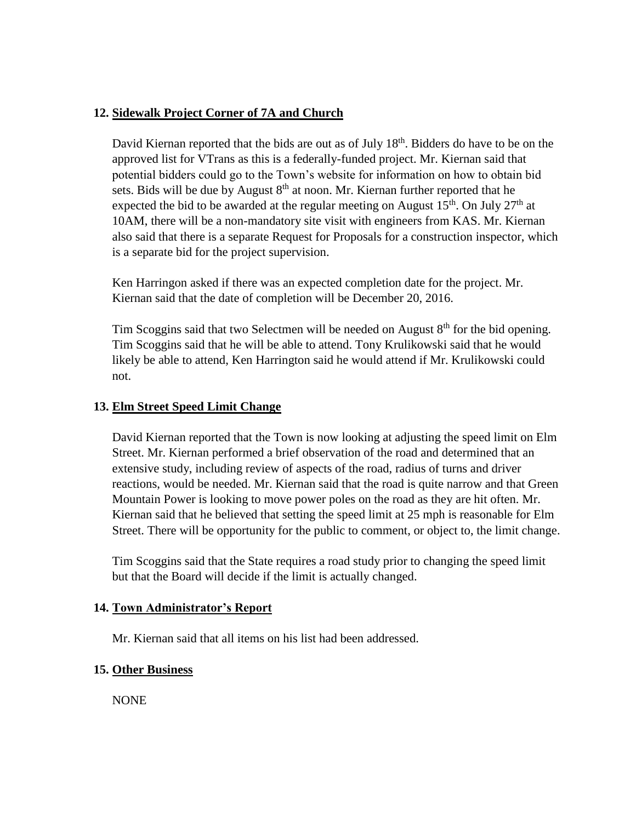## **12. Sidewalk Project Corner of 7A and Church**

David Kiernan reported that the bids are out as of July 18<sup>th</sup>. Bidders do have to be on the approved list for VTrans as this is a federally-funded project. Mr. Kiernan said that potential bidders could go to the Town's website for information on how to obtain bid sets. Bids will be due by August  $8<sup>th</sup>$  at noon. Mr. Kiernan further reported that he expected the bid to be awarded at the regular meeting on August  $15<sup>th</sup>$ . On July  $27<sup>th</sup>$  at 10AM, there will be a non-mandatory site visit with engineers from KAS. Mr. Kiernan also said that there is a separate Request for Proposals for a construction inspector, which is a separate bid for the project supervision.

Ken Harringon asked if there was an expected completion date for the project. Mr. Kiernan said that the date of completion will be December 20, 2016.

Tim Scoggins said that two Selectmen will be needed on August  $8<sup>th</sup>$  for the bid opening. Tim Scoggins said that he will be able to attend. Tony Krulikowski said that he would likely be able to attend, Ken Harrington said he would attend if Mr. Krulikowski could not.

## **13. Elm Street Speed Limit Change**

David Kiernan reported that the Town is now looking at adjusting the speed limit on Elm Street. Mr. Kiernan performed a brief observation of the road and determined that an extensive study, including review of aspects of the road, radius of turns and driver reactions, would be needed. Mr. Kiernan said that the road is quite narrow and that Green Mountain Power is looking to move power poles on the road as they are hit often. Mr. Kiernan said that he believed that setting the speed limit at 25 mph is reasonable for Elm Street. There will be opportunity for the public to comment, or object to, the limit change.

Tim Scoggins said that the State requires a road study prior to changing the speed limit but that the Board will decide if the limit is actually changed.

## **14. Town Administrator's Report**

Mr. Kiernan said that all items on his list had been addressed.

## **15. Other Business**

NONE